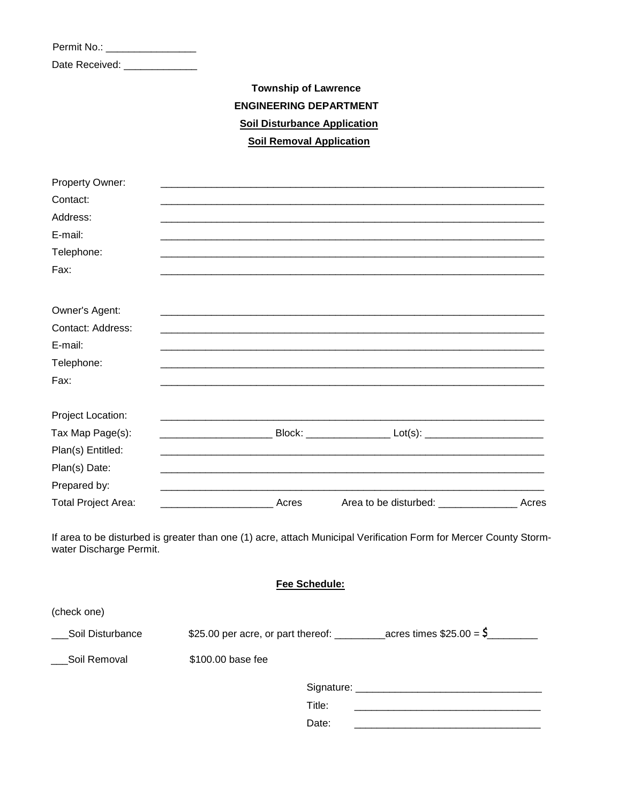Permit No.: \_\_\_\_\_\_\_\_\_\_\_\_\_\_\_\_\_\_\_

Date Received: \_\_\_\_\_\_\_\_\_\_\_\_\_\_

## **Township of Lawrence ENGINEERING DEPARTMENT Soil Disturbance Application Soil Removal Application**

| Property Owner:            |                                                                                                                   |                                                                          |  |
|----------------------------|-------------------------------------------------------------------------------------------------------------------|--------------------------------------------------------------------------|--|
| Contact:                   |                                                                                                                   |                                                                          |  |
| Address:                   |                                                                                                                   |                                                                          |  |
| E-mail:                    |                                                                                                                   |                                                                          |  |
| Telephone:                 |                                                                                                                   |                                                                          |  |
| Fax:                       |                                                                                                                   |                                                                          |  |
| Owner's Agent:             |                                                                                                                   |                                                                          |  |
| Contact: Address:          |                                                                                                                   |                                                                          |  |
| E-mail:                    |                                                                                                                   |                                                                          |  |
| Telephone:                 |                                                                                                                   |                                                                          |  |
| Fax:                       |                                                                                                                   |                                                                          |  |
| Project Location:          |                                                                                                                   |                                                                          |  |
| Tax Map Page(s):           | ______________________________Block: ______________________Lot(s): ________________________________               |                                                                          |  |
| Plan(s) Entitled:          |                                                                                                                   |                                                                          |  |
| Plan(s) Date:              |                                                                                                                   |                                                                          |  |
| Prepared by:               |                                                                                                                   |                                                                          |  |
| <b>Total Project Area:</b> |                                                                                                                   |                                                                          |  |
| water Discharge Permit.    | If area to be disturbed is greater than one (1) acre, attach Municipal Verification Form for Mercer County Storm- |                                                                          |  |
|                            | Fee Schedule:                                                                                                     |                                                                          |  |
| (check one)                |                                                                                                                   |                                                                          |  |
| Soil Disturbance           |                                                                                                                   | \$25.00 per acre, or part thereof: _____________acres times $$25.00 = $$ |  |

Soil Removal \$100.00 base fee

| Signature: |  |
|------------|--|
| Title:     |  |
| Date:      |  |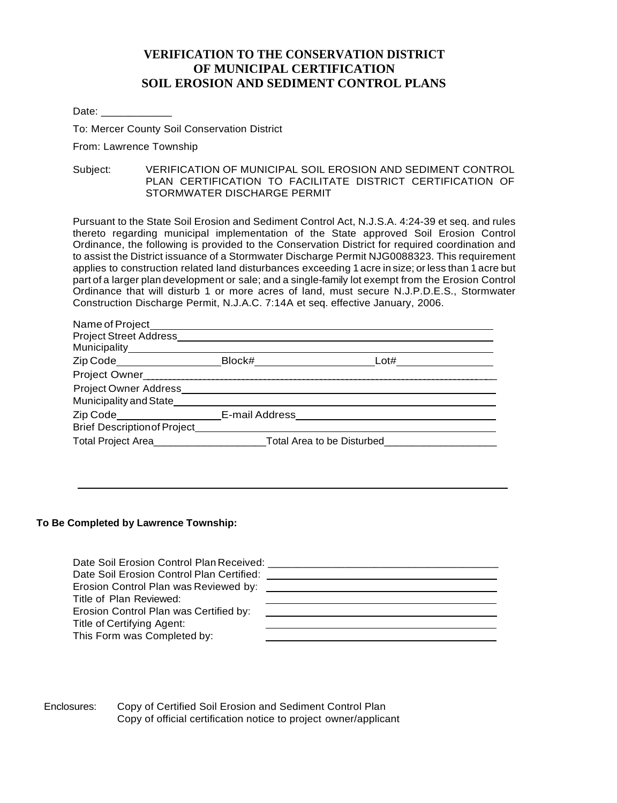#### **VERIFICATION TO THE CONSERVATION DISTRICT OF MUNICIPAL CERTIFICATION SOIL EROSION AND SEDIMENT CONTROL PLANS**

Date: \_\_\_\_\_\_\_\_\_\_\_\_\_\_\_\_

To: Mercer County Soil Conservation District

From: Lawrence Township

Subject: VERIFICATION OF MUNICIPAL SOIL EROSION AND SEDIMENT CONTROL PLAN CERTIFICATION TO FACILITATE DISTRICT CERTIFICATION OF STORMWATER DISCHARGE PERMIT

Pursuant to the State Soil Erosion and Sediment Control Act, N.J.S.A. 4:24-39 et seq. and rules thereto regarding municipal implementation of the State approved Soil Erosion Control Ordinance, the following is provided to the Conservation District for required coordination and to assist the District issuance of a Stormwater Discharge Permit NJG0088323. This requirement applies to construction related land disturbances exceeding 1 acre in size; or less than 1 acre but part of a larger plan development or sale; and a single-family lot exempt from the Erosion Control Ordinance that will disturb 1 or more acres of land, must secure N.J.P.D.E.S., Stormwater Construction Discharge Permit, N.J.A.C. 7:14A et seq. effective January, 2006.

| Name of Project                     |                            |      |
|-------------------------------------|----------------------------|------|
|                                     |                            |      |
| Municipality______________          |                            |      |
| Zip Code <b>Example 2</b>           | Block#                     | Lot# |
| Project Owner                       |                            |      |
| <b>Project Owner Address</b>        |                            |      |
| Municipality and State              |                            |      |
| Zip Code <b>E-mail Address</b>      |                            |      |
| <b>Brief Description of Project</b> |                            |      |
| Total Project Area                  | Total Area to be Disturbed |      |

#### **To Be Completed by Lawrence Township:**

| Date Soil Erosion Control Plan Received:  |  |
|-------------------------------------------|--|
| Date Soil Erosion Control Plan Certified: |  |
| Erosion Control Plan was Reviewed by:     |  |
| Title of Plan Reviewed:                   |  |
| Erosion Control Plan was Certified by:    |  |
| Title of Certifying Agent:                |  |
| This Form was Completed by:               |  |
|                                           |  |

Enclosures: Copy of Certified Soil Erosion and Sediment Control Plan Copy of official certification notice to project owner/applicant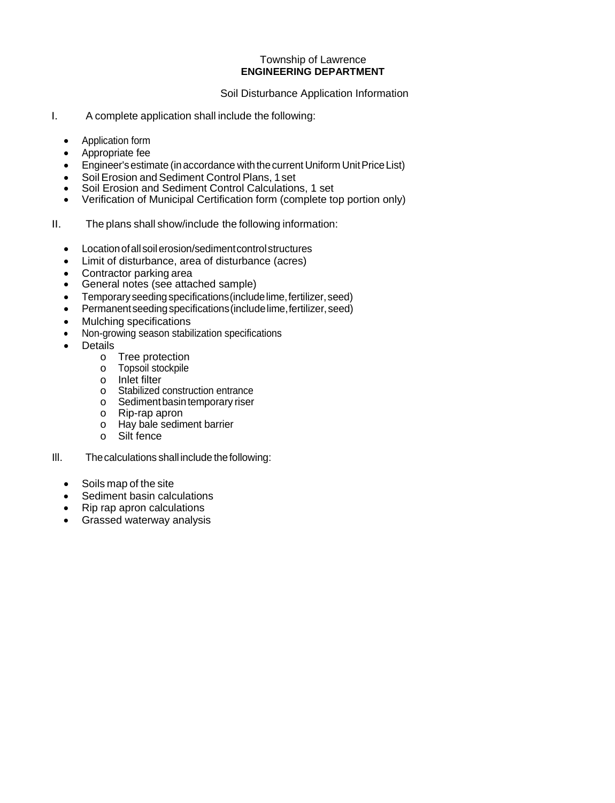#### Township of Lawrence **ENGINEERING DEPARTMENT**

Soil Disturbance Application Information

- I. A complete application shall include the following:
	- Application form
	- Appropriate fee
	- Engineer'sestimate (inaccordance with thecurrent Uniform UnitPriceList)
	- Soil Erosion and Sediment Control Plans, 1 set
	- Soil Erosion and Sediment Control Calculations, 1 set<br>• Verification of Municipal Certification form (complete to
	- Verification of Municipal Certification form (complete top portion only)
- II. The plans shall show/include the following information:
	- Location of all soil erosion/sediment control structures
	- Limit of disturbance, area of disturbance (acres)
	- Contractor parking area
	- General notes (see attached sample)
	- Temporary seedingspecifications(includelime,fertilizer,seed)
	- Permanentseedingspecifications(includelime,fertilizer,seed)
	- Mulching specifications
	- Non-growing season stabilization specifications
	- **Details** 
		- o Tree protection
		- o Topsoil stockpile
		- o Inlet filter
		- o Stabilized construction entrance
		- o Sedimentbasintemporary riser
		- o Rip-rap apron
		- o Hay bale sediment barrier
		- o Silt fence
- Ill. Thecalculations shall include thefollowing:
	- Soils map of the site
	- Sediment basin calculations
	- Rip rap apron calculations
	- Grassed waterway analysis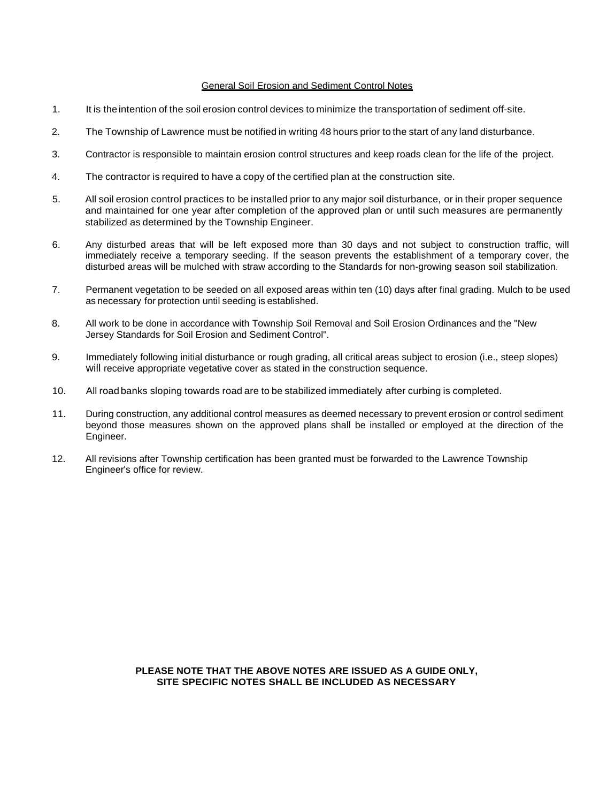#### General Soil Erosion and Sediment Control Notes

- 1. It is theintention of the soil erosion control devices to minimize the transportation of sediment off-site.
- 2. The Township of Lawrence must be notified in writing 48 hours prior to the start of any land disturbance.
- 3. Contractor is responsible to maintain erosion control structures and keep roads clean for the life of the project.
- 4. The contractor is required to have a copy of the certified plan at the construction site.
- 5. All soil erosion control practices to be installed prior to any major soil disturbance, or in their proper sequence and maintained for one year after completion of the approved plan or until such measures are permanently stabilized as determined by the Township Engineer.
- 6. Any disturbed areas that will be left exposed more than 30 days and not subject to construction traffic, will immediately receive a temporary seeding. If the season prevents the establishment of a temporary cover, the disturbed areas will be mulched with straw according to the Standards for non-growing season soil stabilization.
- 7. Permanent vegetation to be seeded on all exposed areas within ten (10) days after final grading. Mulch to be used as necessary for protection until seeding is established.
- 8. All work to be done in accordance with Township Soil Removal and Soil Erosion Ordinances and the "New Jersey Standards for Soil Erosion and Sediment Control".
- 9. Immediately following initial disturbance or rough grading, all critical areas subject to erosion (i.e., steep slopes) will receive appropriate vegetative cover as stated in the construction sequence.
- 10. All road banks sloping towards road are to be stabilized immediately after curbing is completed.
- 11. During construction, any additional control measures as deemed necessary to prevent erosion or control sediment beyond those measures shown on the approved plans shall be installed or employed at the direction of the Engineer.
- 12. All revisions after Township certification has been granted must be forwarded to the Lawrence Township Engineer's office for review.

**PLEASE NOTE THAT THE ABOVE NOTES ARE ISSUED AS A GUIDE ONLY, SITE SPECIFIC NOTES SHALL BE INCLUDED AS NECESSARY**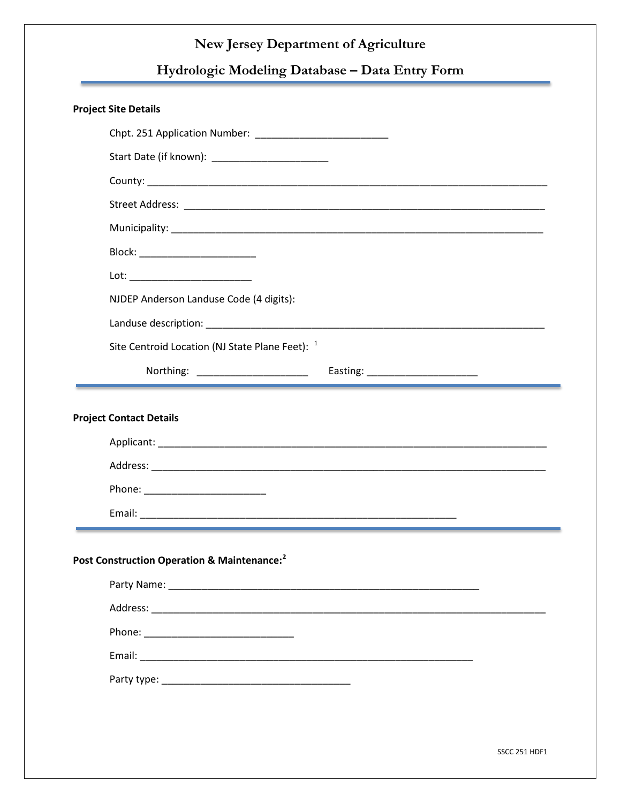# **Hydrologic Modeling Database – Data Entry Form**

| Block: __________________________                          |                                 |
|------------------------------------------------------------|---------------------------------|
|                                                            |                                 |
| NJDEP Anderson Landuse Code (4 digits):                    |                                 |
|                                                            |                                 |
| Site Centroid Location (NJ State Plane Feet): <sup>1</sup> |                                 |
| Northing: _____________________                            | Easting: ______________________ |
|                                                            |                                 |
|                                                            |                                 |
|                                                            |                                 |
|                                                            |                                 |
|                                                            |                                 |
|                                                            |                                 |
|                                                            |                                 |
|                                                            |                                 |
|                                                            |                                 |
|                                                            |                                 |
|                                                            |                                 |
| Post Construction Operation & Maintenance: <sup>2</sup>    |                                 |
|                                                            |                                 |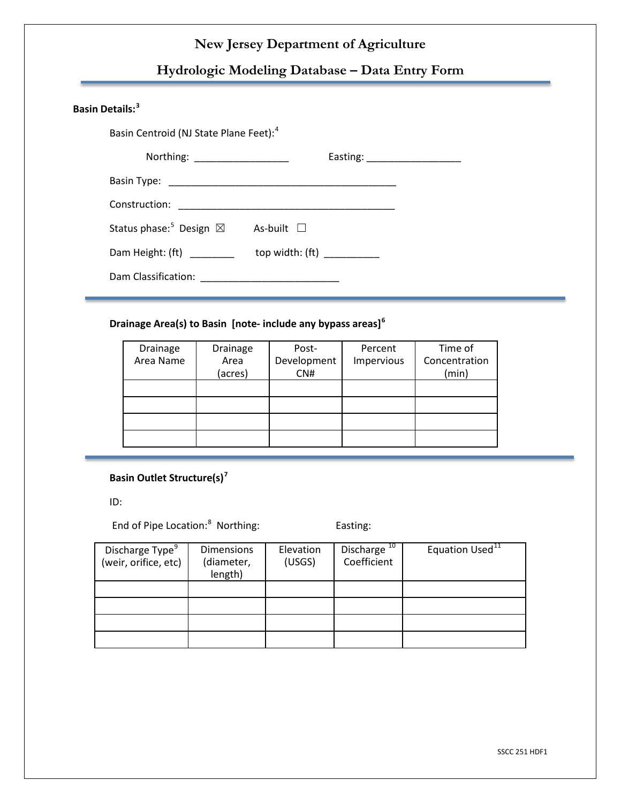## **Hydrologic Modeling Database – Data Entry Form**

#### **Basin Details:[3](#page-7-2)**

Basin Centroid (NJ State Plane Feet): [4](#page-7-3)

| Northing: ____________________<br>Easting: ____________________ |
|-----------------------------------------------------------------|
|                                                                 |
|                                                                 |
| As-built $\Box$                                                 |
| top width: $(ft)$ _________                                     |
|                                                                 |
|                                                                 |

#### **Drainage Area(s) to Basin [note- include any bypass areas][6](#page-7-5)**

| Drainage<br>Area Name | Drainage<br>Area<br>(acres) | Post-<br>Development<br>CNH | Percent<br>Impervious | Time of<br>Concentration<br>(min) |
|-----------------------|-----------------------------|-----------------------------|-----------------------|-----------------------------------|
|                       |                             |                             |                       |                                   |
|                       |                             |                             |                       |                                   |
|                       |                             |                             |                       |                                   |
|                       |                             |                             |                       |                                   |

#### **Basin Outlet Structure(s) [7](#page-7-6)**

ID:

End of Pipe Location:<sup>[8](#page-7-7)</sup> Northing: Easting:

| Discharge Type <sup>9</sup><br>(weir, orifice, etc) | <b>Dimensions</b><br>(diameter,<br>length) | Elevation<br>(USGS) | Discharge <sup>10</sup><br>Coefficient | Equation Used <sup>11</sup> |
|-----------------------------------------------------|--------------------------------------------|---------------------|----------------------------------------|-----------------------------|
|                                                     |                                            |                     |                                        |                             |
|                                                     |                                            |                     |                                        |                             |
|                                                     |                                            |                     |                                        |                             |
|                                                     |                                            |                     |                                        |                             |

SSCC 251 HDF1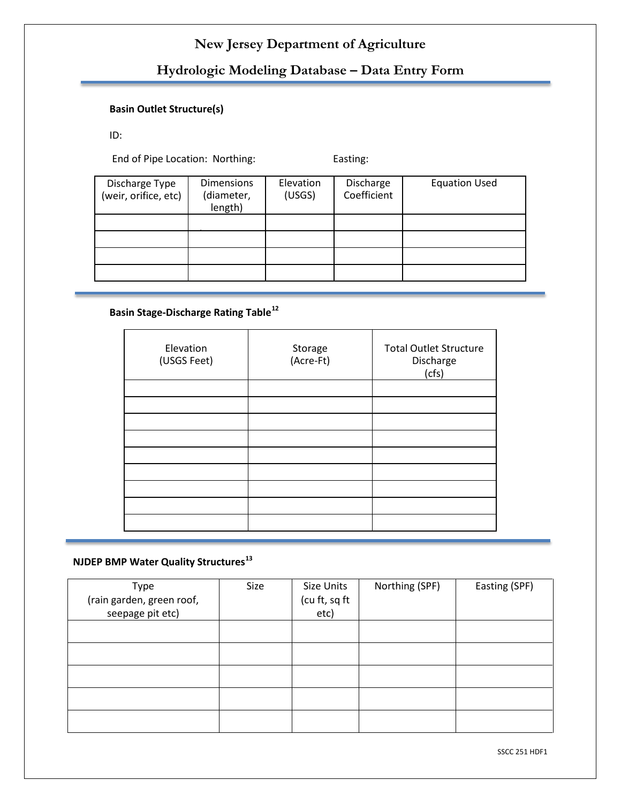# **Hydrologic Modeling Database – Data Entry Form**

# **Basin Outlet Structure(s)**

ID:

End of Pipe Location: Northing: Easting:

| Discharge Type<br>(weir, orifice, etc) | <b>Dimensions</b><br>(diameter,<br>length) | Elevation<br>(USGS) | Discharge<br>Coefficient | <b>Equation Used</b> |
|----------------------------------------|--------------------------------------------|---------------------|--------------------------|----------------------|
|                                        |                                            |                     |                          |                      |
|                                        |                                            |                     |                          |                      |
|                                        |                                            |                     |                          |                      |
|                                        |                                            |                     |                          |                      |

#### **Basin Stage-Discharge Rating Table[12](#page-7-11)**

| Elevation<br>(USGS Feet) | Storage<br>(Acre-Ft) | <b>Total Outlet Structure</b><br>Discharge<br>(cfs) |
|--------------------------|----------------------|-----------------------------------------------------|
|                          |                      |                                                     |
|                          |                      |                                                     |
|                          |                      |                                                     |
|                          |                      |                                                     |
|                          |                      |                                                     |
|                          |                      |                                                     |
|                          |                      |                                                     |
|                          |                      |                                                     |
|                          |                      |                                                     |

# **NJDEP BMP Water Quality Structures[13](#page-7-12)**

| Type                      | Size | Size Units    | Northing (SPF) | Easting (SPF) |
|---------------------------|------|---------------|----------------|---------------|
| (rain garden, green roof, |      | (cu ft, sq ft |                |               |
| seepage pit etc)          |      | etc)          |                |               |
|                           |      |               |                |               |
|                           |      |               |                |               |
|                           |      |               |                |               |
|                           |      |               |                |               |
|                           |      |               |                |               |
|                           |      |               |                |               |
|                           |      |               |                |               |
|                           |      |               |                |               |
|                           |      |               |                |               |

SSCC 251 HDF1